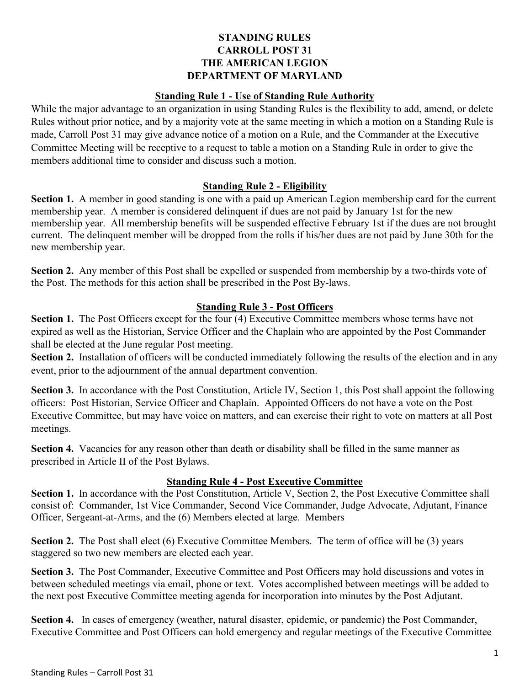### **STANDING RULES CARROLL POST 31 THE AMERICAN LEGION DEPARTMENT OF MARYLAND**

#### **Standing Rule 1 - Use of Standing Rule Authority**

While the major advantage to an organization in using Standing Rules is the flexibility to add, amend, or delete Rules without prior notice, and by a majority vote at the same meeting in which a motion on a Standing Rule is made, Carroll Post 31 may give advance notice of a motion on a Rule, and the Commander at the Executive Committee Meeting will be receptive to a request to table a motion on a Standing Rule in order to give the members additional time to consider and discuss such a motion.

### **Standing Rule 2 - Eligibility**

**Section 1.** A member in good standing is one with a paid up American Legion membership card for the current membership year. A member is considered delinquent if dues are not paid by January 1st for the new membership year. All membership benefits will be suspended effective February 1st if the dues are not brought current. The delinquent member will be dropped from the rolls if his/her dues are not paid by June 30th for the new membership year.

**Section 2.** Any member of this Post shall be expelled or suspended from membership by a two-thirds vote of the Post. The methods for this action shall be prescribed in the Post By-laws.

### **Standing Rule 3 - Post Officers**

**Section 1.** The Post Officers except for the four (4) Executive Committee members whose terms have not expired as well as the Historian, Service Officer and the Chaplain who are appointed by the Post Commander shall be elected at the June regular Post meeting.

**Section 2.** Installation of officers will be conducted immediately following the results of the election and in any event, prior to the adjournment of the annual department convention.

**Section 3.** In accordance with the Post Constitution, Article IV, Section 1, this Post shall appoint the following officers: Post Historian, Service Officer and Chaplain. Appointed Officers do not have a vote on the Post Executive Committee, but may have voice on matters, and can exercise their right to vote on matters at all Post meetings.

**Section 4.** Vacancies for any reason other than death or disability shall be filled in the same manner as prescribed in Article II of the Post Bylaws.

### **Standing Rule 4 - Post Executive Committee**

**Section 1.** In accordance with the Post Constitution, Article V, Section 2, the Post Executive Committee shall consist of: Commander, 1st Vice Commander, Second Vice Commander, Judge Advocate, Adjutant, Finance Officer, Sergeant-at-Arms, and the (6) Members elected at large. Members

**Section 2.** The Post shall elect (6) Executive Committee Members. The term of office will be (3) years staggered so two new members are elected each year.

**Section 3.** The Post Commander, Executive Committee and Post Officers may hold discussions and votes in between scheduled meetings via email, phone or text. Votes accomplished between meetings will be added to the next post Executive Committee meeting agenda for incorporation into minutes by the Post Adjutant.

**Section 4.** In cases of emergency (weather, natural disaster, epidemic, or pandemic) the Post Commander, Executive Committee and Post Officers can hold emergency and regular meetings of the Executive Committee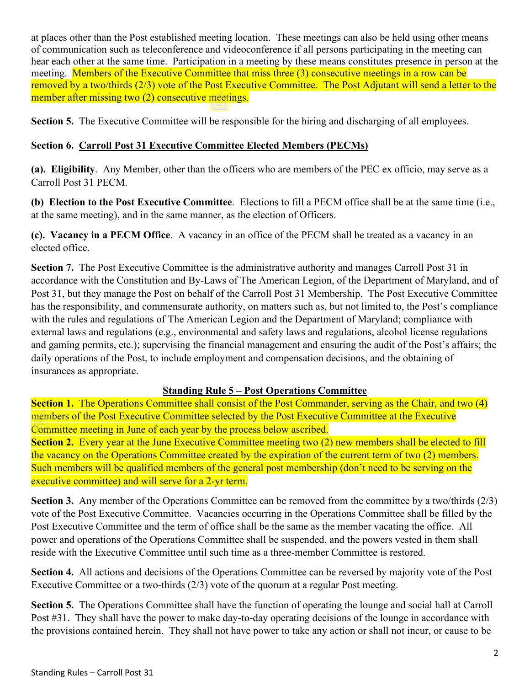at places other than the Post established meeting location. These meetings can also be held using other means of communication such as teleconference and videoconference if all persons participating in the meeting can hear each other at the same time. Participation in a meeting by these means constitutes presence in person at the meeting. Members of the Executive Committee that miss three (3) consecutive meetings in a row can be removed by a two/thirds (2/3) vote of the Post Executive Committee. The Post Adjutant will send a letter to the member after missing two (2) consecutive meetings.

**Section 5.** The Executive Committee will be responsible for the hiring and discharging of all employees.

### **Section 6. Carroll Post 31 Executive Committee Elected Members (PECMs)**

**(a). Eligibility**. Any Member, other than the officers who are members of the PEC ex officio, may serve as a Carroll Post 31 PECM.

**(b) Election to the Post Executive Committee**. Elections to fill a PECM office shall be at the same time (i.e., at the same meeting), and in the same manner, as the election of Officers.

**(c). Vacancy in a PECM Office**. A vacancy in an office of the PECM shall be treated as a vacancy in an elected office.

**Section 7.** The Post Executive Committee is the administrative authority and manages Carroll Post 31 in accordance with the Constitution and By-Laws of The American Legion, of the Department of Maryland, and of Post 31, but they manage the Post on behalf of the Carroll Post 31 Membership. The Post Executive Committee has the responsibility, and commensurate authority, on matters such as, but not limited to, the Post's compliance with the rules and regulations of The American Legion and the Department of Maryland; compliance with external laws and regulations (e.g., environmental and safety laws and regulations, alcohol license regulations and gaming permits, etc.); supervising the financial management and ensuring the audit of the Post's affairs; the daily operations of the Post, to include employment and compensation decisions, and the obtaining of insurances as appropriate.

### **Standing Rule 5 – Post Operations Committee**

**Section 1.** The Operations Committee shall consist of the Post Commander, serving as the Chair, and two (4) members of the Post Executive Committee selected by the Post Executive Committee at the Executive Committee meeting in June of each year by the process below ascribed.

**Section 2.** Every year at the June Executive Committee meeting two (2) new members shall be elected to fill the vacancy on the Operations Committee created by the expiration of the current term of two (2) members. Such members will be qualified members of the general post membership (don't need to be serving on the executive committee) and will serve for a 2-yr term.

**Section 3.** Any member of the Operations Committee can be removed from the committee by a two/thirds (2/3) vote of the Post Executive Committee. Vacancies occurring in the Operations Committee shall be filled by the Post Executive Committee and the term of office shall be the same as the member vacating the office. All power and operations of the Operations Committee shall be suspended, and the powers vested in them shall reside with the Executive Committee until such time as a three-member Committee is restored.

**Section 4.** All actions and decisions of the Operations Committee can be reversed by majority vote of the Post Executive Committee or a two-thirds (2/3) vote of the quorum at a regular Post meeting.

**Section 5.** The Operations Committee shall have the function of operating the lounge and social hall at Carroll Post #31. They shall have the power to make day-to-day operating decisions of the lounge in accordance with the provisions contained herein. They shall not have power to take any action or shall not incur, or cause to be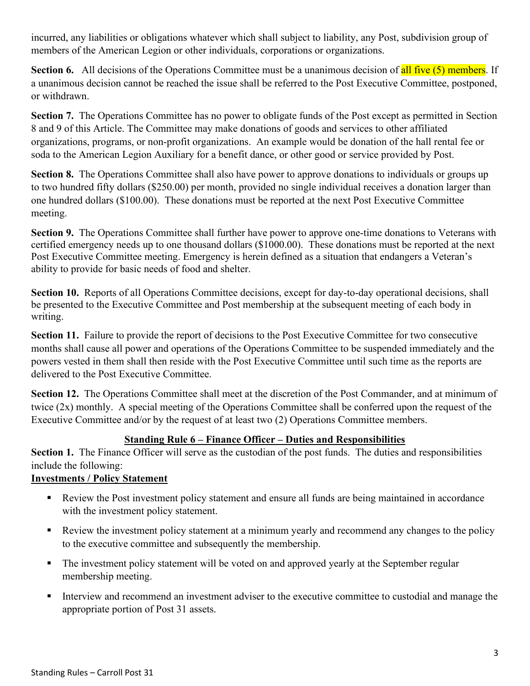incurred, any liabilities or obligations whatever which shall subject to liability, any Post, subdivision group of members of the American Legion or other individuals, corporations or organizations.

**Section 6.** All decisions of the Operations Committee must be a unanimous decision of all five (5) members. If a unanimous decision cannot be reached the issue shall be referred to the Post Executive Committee, postponed, or withdrawn.

**Section 7.** The Operations Committee has no power to obligate funds of the Post except as permitted in Section 8 and 9 of this Article. The Committee may make donations of goods and services to other affiliated organizations, programs, or non-profit organizations. An example would be donation of the hall rental fee or soda to the American Legion Auxiliary for a benefit dance, or other good or service provided by Post.

**Section 8.** The Operations Committee shall also have power to approve donations to individuals or groups up to two hundred fifty dollars (\$250.00) per month, provided no single individual receives a donation larger than one hundred dollars (\$100.00). These donations must be reported at the next Post Executive Committee meeting.

**Section 9.** The Operations Committee shall further have power to approve one-time donations to Veterans with certified emergency needs up to one thousand dollars (\$1000.00). These donations must be reported at the next Post Executive Committee meeting. Emergency is herein defined as a situation that endangers a Veteran's ability to provide for basic needs of food and shelter.

**Section 10.** Reports of all Operations Committee decisions, except for day-to-day operational decisions, shall be presented to the Executive Committee and Post membership at the subsequent meeting of each body in writing.

**Section 11.** Failure to provide the report of decisions to the Post Executive Committee for two consecutive months shall cause all power and operations of the Operations Committee to be suspended immediately and the powers vested in them shall then reside with the Post Executive Committee until such time as the reports are delivered to the Post Executive Committee.

**Section 12.** The Operations Committee shall meet at the discretion of the Post Commander, and at minimum of twice (2x) monthly. A special meeting of the Operations Committee shall be conferred upon the request of the Executive Committee and/or by the request of at least two (2) Operations Committee members.

# **Standing Rule 6 – Finance Officer – Duties and Responsibilities**

**Section 1.** The Finance Officer will serve as the custodian of the post funds. The duties and responsibilities include the following:

# **Investments / Policy Statement**

- Review the Post investment policy statement and ensure all funds are being maintained in accordance with the investment policy statement.
- Review the investment policy statement at a minimum yearly and recommend any changes to the policy to the executive committee and subsequently the membership.
- The investment policy statement will be voted on and approved yearly at the September regular membership meeting.
- Interview and recommend an investment adviser to the executive committee to custodial and manage the appropriate portion of Post 31 assets.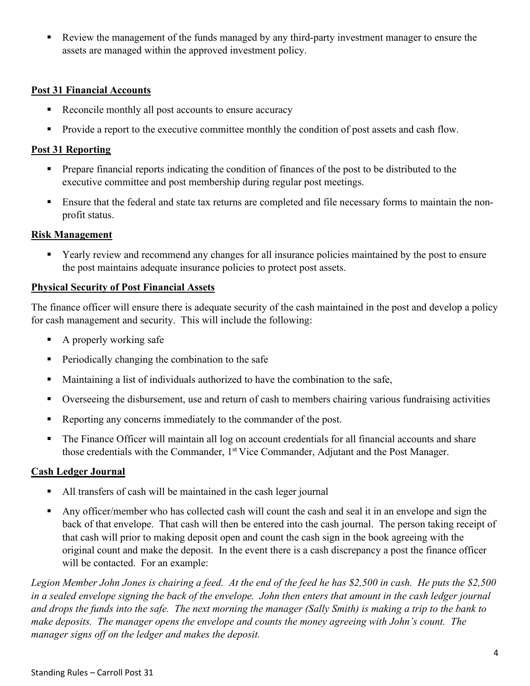Review the management of the funds managed by any third-party investment manager to ensure the assets are managed within the approved investment policy.

### **Post 31 Financial Accounts**

- Reconcile monthly all post accounts to ensure accuracy
- **Provide a report to the executive committee monthly the condition of post assets and cash flow.**

#### **Post 31 Reporting**

- **Prepare financial reports indicating the condition of finances of the post to be distributed to the** executive committee and post membership during regular post meetings.
- Ensure that the federal and state tax returns are completed and file necessary forms to maintain the nonprofit status.

#### **Risk Management**

 Yearly review and recommend any changes for all insurance policies maintained by the post to ensure the post maintains adequate insurance policies to protect post assets.

#### **Physical Security of Post Financial Assets**

The finance officer will ensure there is adequate security of the cash maintained in the post and develop a policy for cash management and security. This will include the following:

- $\blacksquare$  A properly working safe
- **Periodically changing the combination to the safe**
- Maintaining a list of individuals authorized to have the combination to the safe,
- Overseeing the disbursement, use and return of cash to members chairing various fundraising activities
- Reporting any concerns immediately to the commander of the post.
- The Finance Officer will maintain all log on account credentials for all financial accounts and share those credentials with the Commander, 1<sup>st</sup> Vice Commander, Adjutant and the Post Manager.

### **Cash Ledger Journal**

- All transfers of cash will be maintained in the cash leger journal
- Any officer/member who has collected cash will count the cash and seal it in an envelope and sign the back of that envelope. That cash will then be entered into the cash journal. The person taking receipt of that cash will prior to making deposit open and count the cash sign in the book agreeing with the original count and make the deposit. In the event there is a cash discrepancy a post the finance officer will be contacted. For an example:

*Legion Member John Jones is chairing a feed. At the end of the feed he has \$2,500 in cash. He puts the \$2,500*  in a sealed envelope signing the back of the envelope. John then enters that amount in the cash ledger journal *and drops the funds into the safe. The next morning the manager (Sally Smith) is making a trip to the bank to make deposits. The manager opens the envelope and counts the money agreeing with John's count. The manager signs off on the ledger and makes the deposit.*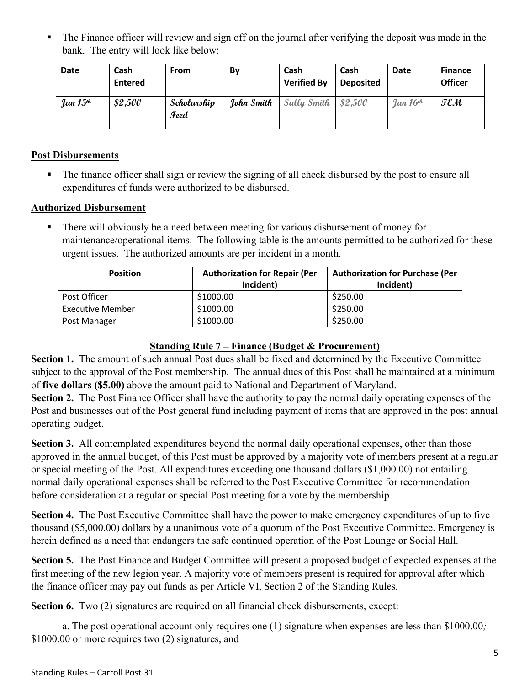• The Finance officer will review and sign off on the journal after verifying the deposit was made in the bank. The entry will look like below:

| Date                   | Cash<br><b>Entered</b> | <b>From</b>         | By         | Cash<br><b>Verified By</b> | <b>Cash</b><br><b>Deposited</b> | Date       | <b>Finance</b><br>Officer |
|------------------------|------------------------|---------------------|------------|----------------------------|---------------------------------|------------|---------------------------|
| Jan $15$ <sup>th</sup> | \$2,500                | Scholarship<br>Feed | John Smith | Sally Smith                | 82,500                          | Jan $16th$ | TEM                       |

### **Post Disbursements**

The finance officer shall sign or review the signing of all check disbursed by the post to ensure all expenditures of funds were authorized to be disbursed.

### **Authorized Disbursement**

 There will obviously be a need between meeting for various disbursement of money for maintenance/operational items. The following table is the amounts permitted to be authorized for these urgent issues. The authorized amounts are per incident in a month.

| <b>Position</b>         | <b>Authorization for Repair (Per</b><br>Incident) | <b>Authorization for Purchase (Per</b><br>Incident) |
|-------------------------|---------------------------------------------------|-----------------------------------------------------|
| Post Officer            | \$1000.00                                         | \$250.00                                            |
| <b>Executive Member</b> | \$1000.00                                         | \$250.00                                            |
| Post Manager            | \$1000.00                                         | \$250.00                                            |

# **Standing Rule 7 – Finance (Budget & Procurement)**

Section 1. The amount of such annual Post dues shall be fixed and determined by the Executive Committee subject to the approval of the Post membership. The annual dues of this Post shall be maintained at a minimum of **five dollars (\$5.00)** above the amount paid to National and Department of Maryland.

**Section 2.** The Post Finance Officer shall have the authority to pay the normal daily operating expenses of the Post and businesses out of the Post general fund including payment of items that are approved in the post annual operating budget.

**Section 3.** All contemplated expenditures beyond the normal daily operational expenses, other than those approved in the annual budget, of this Post must be approved by a majority vote of members present at a regular or special meeting of the Post. All expenditures exceeding one thousand dollars (\$1,000.00) not entailing normal daily operational expenses shall be referred to the Post Executive Committee for recommendation before consideration at a regular or special Post meeting for a vote by the membership

**Section 4.** The Post Executive Committee shall have the power to make emergency expenditures of up to five thousand (\$5,000.00) dollars by a unanimous vote of a quorum of the Post Executive Committee. Emergency is herein defined as a need that endangers the safe continued operation of the Post Lounge or Social Hall.

**Section 5.** The Post Finance and Budget Committee will present a proposed budget of expected expenses at the first meeting of the new legion year. A majority vote of members present is required for approval after which the finance officer may pay out funds as per Article VI, Section 2 of the Standing Rules.

**Section 6.** Two (2) signatures are required on all financial check disbursements, except:

a. The post operational account only requires one (1) signature when expenses are less than \$1000.00*;* \$1000.00 or more requires two (2) signatures, and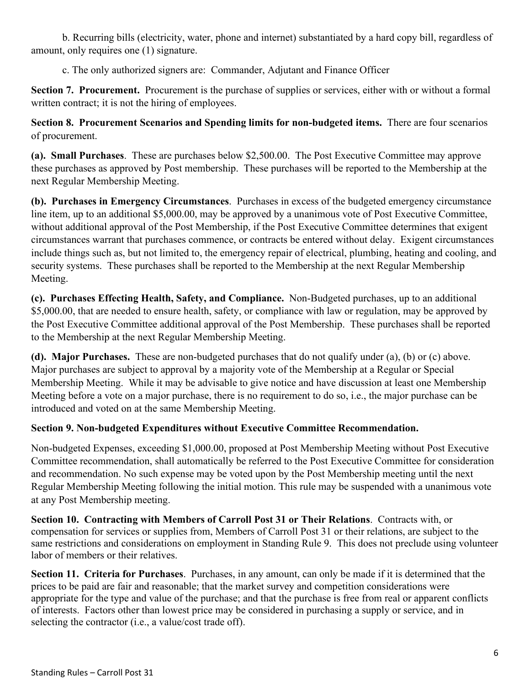b. Recurring bills (electricity, water, phone and internet) substantiated by a hard copy bill, regardless of amount, only requires one (1) signature.

c. The only authorized signers are: Commander, Adjutant and Finance Officer

**Section 7. Procurement.** Procurement is the purchase of supplies or services, either with or without a formal written contract; it is not the hiring of employees.

**Section 8. Procurement Scenarios and Spending limits for non-budgeted items.** There are four scenarios of procurement.

**(a). Small Purchases**. These are purchases below \$2,500.00. The Post Executive Committee may approve these purchases as approved by Post membership. These purchases will be reported to the Membership at the next Regular Membership Meeting.

**(b). Purchases in Emergency Circumstances**. Purchases in excess of the budgeted emergency circumstance line item, up to an additional \$5,000.00, may be approved by a unanimous vote of Post Executive Committee, without additional approval of the Post Membership, if the Post Executive Committee determines that exigent circumstances warrant that purchases commence, or contracts be entered without delay. Exigent circumstances include things such as, but not limited to, the emergency repair of electrical, plumbing, heating and cooling, and security systems. These purchases shall be reported to the Membership at the next Regular Membership Meeting.

**(c). Purchases Effecting Health, Safety, and Compliance.** Non-Budgeted purchases, up to an additional \$5,000.00, that are needed to ensure health, safety, or compliance with law or regulation, may be approved by the Post Executive Committee additional approval of the Post Membership. These purchases shall be reported to the Membership at the next Regular Membership Meeting.

**(d). Major Purchases.** These are non-budgeted purchases that do not qualify under (a), (b) or (c) above. Major purchases are subject to approval by a majority vote of the Membership at a Regular or Special Membership Meeting. While it may be advisable to give notice and have discussion at least one Membership Meeting before a vote on a major purchase, there is no requirement to do so, i.e., the major purchase can be introduced and voted on at the same Membership Meeting.

# **Section 9. Non-budgeted Expenditures without Executive Committee Recommendation.**

Non-budgeted Expenses, exceeding \$1,000.00, proposed at Post Membership Meeting without Post Executive Committee recommendation, shall automatically be referred to the Post Executive Committee for consideration and recommendation. No such expense may be voted upon by the Post Membership meeting until the next Regular Membership Meeting following the initial motion. This rule may be suspended with a unanimous vote at any Post Membership meeting.

**Section 10. Contracting with Members of Carroll Post 31 or Their Relations**. Contracts with, or compensation for services or supplies from, Members of Carroll Post 31 or their relations, are subject to the same restrictions and considerations on employment in Standing Rule 9. This does not preclude using volunteer labor of members or their relatives.

**Section 11. Criteria for Purchases**. Purchases, in any amount, can only be made if it is determined that the prices to be paid are fair and reasonable; that the market survey and competition considerations were appropriate for the type and value of the purchase; and that the purchase is free from real or apparent conflicts of interests. Factors other than lowest price may be considered in purchasing a supply or service, and in selecting the contractor (i.e., a value/cost trade off).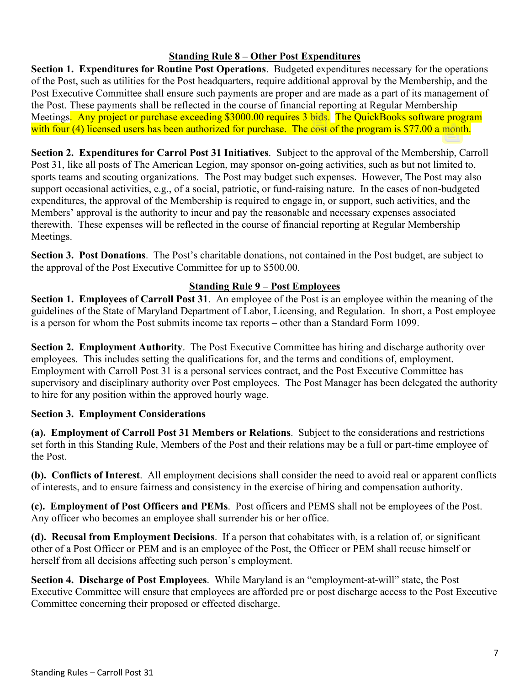# **Standing Rule 8 – Other Post Expenditures**

**Section 1. Expenditures for Routine Post Operations**. Budgeted expenditures necessary for the operations of the Post, such as utilities for the Post headquarters, require additional approval by the Membership, and the Post Executive Committee shall ensure such payments are proper and are made as a part of its management of the Post. These payments shall be reflected in the course of financial reporting at Regular Membership Meetings. Any project or purchase exceeding \$3000.00 requires 3 bids. The QuickBooks software program with four (4) licensed users has been authorized for purchase. The cost of the program is \$77.00 a month.

**Section 2. Expenditures for Carrol Post 31 Initiatives**. Subject to the approval of the Membership, Carroll Post 31, like all posts of The American Legion, may sponsor on-going activities, such as but not limited to, sports teams and scouting organizations. The Post may budget such expenses. However, The Post may also support occasional activities, e.g., of a social, patriotic, or fund-raising nature. In the cases of non-budgeted expenditures, the approval of the Membership is required to engage in, or support, such activities, and the Members' approval is the authority to incur and pay the reasonable and necessary expenses associated therewith. These expenses will be reflected in the course of financial reporting at Regular Membership Meetings.

**Section 3. Post Donations**. The Post's charitable donations, not contained in the Post budget, are subject to the approval of the Post Executive Committee for up to \$500.00.

### **Standing Rule 9 – Post Employees**

**Section 1. Employees of Carroll Post 31**. An employee of the Post is an employee within the meaning of the guidelines of the State of Maryland Department of Labor, Licensing, and Regulation. In short, a Post employee is a person for whom the Post submits income tax reports – other than a Standard Form 1099.

**Section 2. Employment Authority**. The Post Executive Committee has hiring and discharge authority over employees. This includes setting the qualifications for, and the terms and conditions of, employment. Employment with Carroll Post 31 is a personal services contract, and the Post Executive Committee has supervisory and disciplinary authority over Post employees. The Post Manager has been delegated the authority to hire for any position within the approved hourly wage.

### **Section 3. Employment Considerations**

**(a). Employment of Carroll Post 31 Members or Relations**. Subject to the considerations and restrictions set forth in this Standing Rule, Members of the Post and their relations may be a full or part-time employee of the Post.

**(b). Conflicts of Interest**. All employment decisions shall consider the need to avoid real or apparent conflicts of interests, and to ensure fairness and consistency in the exercise of hiring and compensation authority.

**(c). Employment of Post Officers and PEMs**. Post officers and PEMS shall not be employees of the Post. Any officer who becomes an employee shall surrender his or her office.

**(d). Recusal from Employment Decisions**. If a person that cohabitates with, is a relation of, or significant other of a Post Officer or PEM and is an employee of the Post, the Officer or PEM shall recuse himself or herself from all decisions affecting such person's employment.

**Section 4. Discharge of Post Employees**. While Maryland is an "employment-at-will" state, the Post Executive Committee will ensure that employees are afforded pre or post discharge access to the Post Executive Committee concerning their proposed or effected discharge.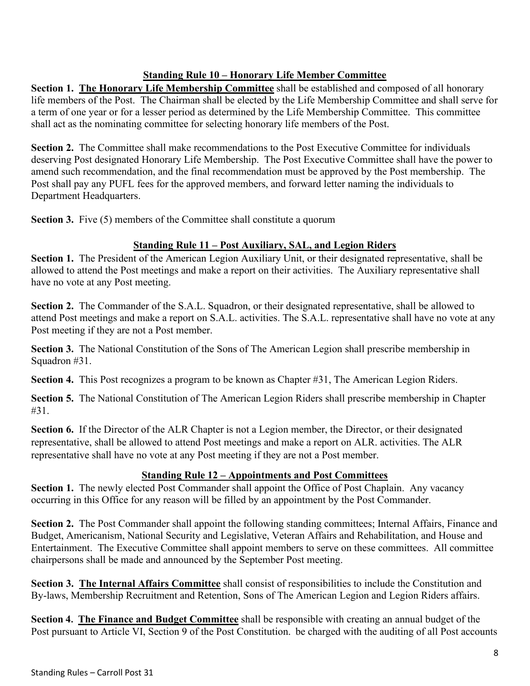### **Standing Rule 10 – Honorary Life Member Committee**

**Section 1. The Honorary Life Membership Committee** shall be established and composed of all honorary life members of the Post. The Chairman shall be elected by the Life Membership Committee and shall serve for a term of one year or for a lesser period as determined by the Life Membership Committee. This committee shall act as the nominating committee for selecting honorary life members of the Post.

**Section 2.** The Committee shall make recommendations to the Post Executive Committee for individuals deserving Post designated Honorary Life Membership. The Post Executive Committee shall have the power to amend such recommendation, and the final recommendation must be approved by the Post membership. The Post shall pay any PUFL fees for the approved members, and forward letter naming the individuals to Department Headquarters.

**Section 3.** Five (5) members of the Committee shall constitute a quorum

### **Standing Rule 11 – Post Auxiliary, SAL, and Legion Riders**

**Section 1.** The President of the American Legion Auxiliary Unit, or their designated representative, shall be allowed to attend the Post meetings and make a report on their activities. The Auxiliary representative shall have no vote at any Post meeting.

**Section 2.** The Commander of the S.A.L. Squadron, or their designated representative, shall be allowed to attend Post meetings and make a report on S.A.L. activities. The S.A.L. representative shall have no vote at any Post meeting if they are not a Post member.

**Section 3.** The National Constitution of the Sons of The American Legion shall prescribe membership in Squadron #31.

**Section 4.** This Post recognizes a program to be known as Chapter #31, The American Legion Riders.

**Section 5.** The National Constitution of The American Legion Riders shall prescribe membership in Chapter #31.

**Section 6.** If the Director of the ALR Chapter is not a Legion member, the Director, or their designated representative, shall be allowed to attend Post meetings and make a report on ALR. activities. The ALR representative shall have no vote at any Post meeting if they are not a Post member.

# **Standing Rule 12 – Appointments and Post Committees**

**Section 1.** The newly elected Post Commander shall appoint the Office of Post Chaplain. Any vacancy occurring in this Office for any reason will be filled by an appointment by the Post Commander.

**Section 2.** The Post Commander shall appoint the following standing committees; Internal Affairs, Finance and Budget, Americanism, National Security and Legislative, Veteran Affairs and Rehabilitation, and House and Entertainment. The Executive Committee shall appoint members to serve on these committees. All committee chairpersons shall be made and announced by the September Post meeting.

**Section 3. The Internal Affairs Committee** shall consist of responsibilities to include the Constitution and By-laws, Membership Recruitment and Retention, Sons of The American Legion and Legion Riders affairs.

**Section 4. The Finance and Budget Committee** shall be responsible with creating an annual budget of the Post pursuant to Article VI, Section 9 of the Post Constitution. be charged with the auditing of all Post accounts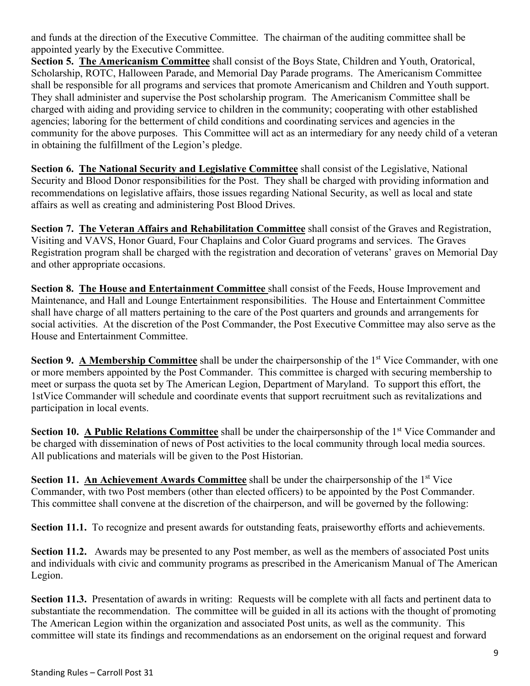and funds at the direction of the Executive Committee. The chairman of the auditing committee shall be appointed yearly by the Executive Committee.

**Section 5. The Americanism Committee** shall consist of the Boys State, Children and Youth, Oratorical, Scholarship, ROTC, Halloween Parade, and Memorial Day Parade programs. The Americanism Committee shall be responsible for all programs and services that promote Americanism and Children and Youth support. They shall administer and supervise the Post scholarship program. The Americanism Committee shall be charged with aiding and providing service to children in the community; cooperating with other established agencies; laboring for the betterment of child conditions and coordinating services and agencies in the community for the above purposes. This Committee will act as an intermediary for any needy child of a veteran in obtaining the fulfillment of the Legion's pledge.

**Section 6. The National Security and Legislative Committee** shall consist of the Legislative, National Security and Blood Donor responsibilities for the Post. They shall be charged with providing information and recommendations on legislative affairs, those issues regarding National Security, as well as local and state affairs as well as creating and administering Post Blood Drives.

**Section 7. The Veteran Affairs and Rehabilitation Committee** shall consist of the Graves and Registration, Visiting and VAVS, Honor Guard, Four Chaplains and Color Guard programs and services. The Graves Registration program shall be charged with the registration and decoration of veterans' graves on Memorial Day and other appropriate occasions.

**Section 8. The House and Entertainment Committee** shall consist of the Feeds, House Improvement and Maintenance, and Hall and Lounge Entertainment responsibilities. The House and Entertainment Committee shall have charge of all matters pertaining to the care of the Post quarters and grounds and arrangements for social activities. At the discretion of the Post Commander, the Post Executive Committee may also serve as the House and Entertainment Committee.

**Section 9. A Membership Committee** shall be under the chairpersonship of the 1<sup>st</sup> Vice Commander, with one or more members appointed by the Post Commander. This committee is charged with securing membership to meet or surpass the quota set by The American Legion, Department of Maryland. To support this effort, the 1stVice Commander will schedule and coordinate events that support recruitment such as revitalizations and participation in local events.

**Section 10. A Public Relations Committee** shall be under the chairpersonship of the 1<sup>st</sup> Vice Commander and be charged with dissemination of news of Post activities to the local community through local media sources. All publications and materials will be given to the Post Historian.

**Section 11. An Achievement Awards Committee** shall be under the chairpersonship of the 1<sup>st</sup> Vice Commander, with two Post members (other than elected officers) to be appointed by the Post Commander. This committee shall convene at the discretion of the chairperson, and will be governed by the following:

**Section 11.1.** To recognize and present awards for outstanding feats, praiseworthy efforts and achievements.

**Section 11.2.** Awards may be presented to any Post member, as well as the members of associated Post units and individuals with civic and community programs as prescribed in the Americanism Manual of The American Legion.

**Section 11.3.** Presentation of awards in writing: Requests will be complete with all facts and pertinent data to substantiate the recommendation. The committee will be guided in all its actions with the thought of promoting The American Legion within the organization and associated Post units, as well as the community. This committee will state its findings and recommendations as an endorsement on the original request and forward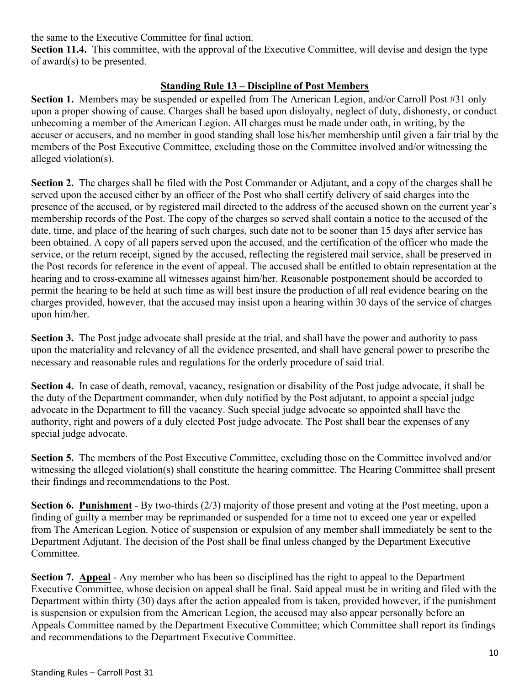the same to the Executive Committee for final action.

**Section 11.4.** This committee, with the approval of the Executive Committee, will devise and design the type of award(s) to be presented.

### **Standing Rule 13 – Discipline of Post Members**

**Section 1.** Members may be suspended or expelled from The American Legion, and/or Carroll Post #31 only upon a proper showing of cause. Charges shall be based upon disloyalty, neglect of duty, dishonesty, or conduct unbecoming a member of the American Legion. All charges must be made under oath, in writing, by the accuser or accusers, and no member in good standing shall lose his/her membership until given a fair trial by the members of the Post Executive Committee, excluding those on the Committee involved and/or witnessing the alleged violation(s).

**Section 2.** The charges shall be filed with the Post Commander or Adjutant, and a copy of the charges shall be served upon the accused either by an officer of the Post who shall certify delivery of said charges into the presence of the accused, or by registered mail directed to the address of the accused shown on the current year's membership records of the Post. The copy of the charges so served shall contain a notice to the accused of the date, time, and place of the hearing of such charges, such date not to be sooner than 15 days after service has been obtained. A copy of all papers served upon the accused, and the certification of the officer who made the service, or the return receipt, signed by the accused, reflecting the registered mail service, shall be preserved in the Post records for reference in the event of appeal. The accused shall be entitled to obtain representation at the hearing and to cross-examine all witnesses against him/her. Reasonable postponement should be accorded to permit the hearing to be held at such time as will best insure the production of all real evidence bearing on the charges provided, however, that the accused may insist upon a hearing within 30 days of the service of charges upon him/her.

**Section 3.** The Post judge advocate shall preside at the trial, and shall have the power and authority to pass upon the materiality and relevancy of all the evidence presented, and shall have general power to prescribe the necessary and reasonable rules and regulations for the orderly procedure of said trial.

**Section 4.** In case of death, removal, vacancy, resignation or disability of the Post judge advocate, it shall be the duty of the Department commander, when duly notified by the Post adjutant, to appoint a special judge advocate in the Department to fill the vacancy. Such special judge advocate so appointed shall have the authority, right and powers of a duly elected Post judge advocate. The Post shall bear the expenses of any special judge advocate.

**Section 5.** The members of the Post Executive Committee, excluding those on the Committee involved and/or witnessing the alleged violation(s) shall constitute the hearing committee. The Hearing Committee shall present their findings and recommendations to the Post.

**Section 6. Punishment** - By two-thirds (2/3) majority of those present and voting at the Post meeting, upon a finding of guilty a member may be reprimanded or suspended for a time not to exceed one year or expelled from The American Legion. Notice of suspension or expulsion of any member shall immediately be sent to the Department Adjutant. The decision of the Post shall be final unless changed by the Department Executive Committee.

**Section 7. Appeal** - Any member who has been so disciplined has the right to appeal to the Department Executive Committee, whose decision on appeal shall be final. Said appeal must be in writing and filed with the Department within thirty (30) days after the action appealed from is taken, provided however, if the punishment is suspension or expulsion from the American Legion, the accused may also appear personally before an Appeals Committee named by the Department Executive Committee; which Committee shall report its findings and recommendations to the Department Executive Committee.